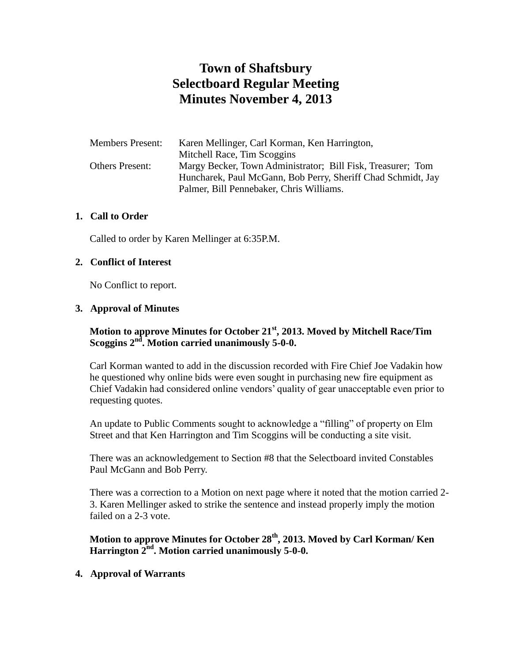# **Town of Shaftsbury Selectboard Regular Meeting Minutes November 4, 2013**

| <b>Members Present:</b> | Karen Mellinger, Carl Korman, Ken Harrington,                |
|-------------------------|--------------------------------------------------------------|
|                         | Mitchell Race, Tim Scoggins                                  |
| <b>Others Present:</b>  | Margy Becker, Town Administrator; Bill Fisk, Treasurer; Tom  |
|                         | Huncharek, Paul McGann, Bob Perry, Sheriff Chad Schmidt, Jay |
|                         | Palmer, Bill Pennebaker, Chris Williams.                     |

#### **1. Call to Order**

Called to order by Karen Mellinger at 6:35P.M.

#### **2. Conflict of Interest**

No Conflict to report.

#### **3. Approval of Minutes**

### **Motion to approve Minutes for October 21st, 2013. Moved by Mitchell Race/Tim Scoggins 2nd . Motion carried unanimously 5-0-0.**

Carl Korman wanted to add in the discussion recorded with Fire Chief Joe Vadakin how he questioned why online bids were even sought in purchasing new fire equipment as Chief Vadakin had considered online vendors' quality of gear unacceptable even prior to requesting quotes.

An update to Public Comments sought to acknowledge a "filling" of property on Elm Street and that Ken Harrington and Tim Scoggins will be conducting a site visit.

There was an acknowledgement to Section #8 that the Selectboard invited Constables Paul McGann and Bob Perry.

There was a correction to a Motion on next page where it noted that the motion carried 2- 3. Karen Mellinger asked to strike the sentence and instead properly imply the motion failed on a 2-3 vote.

**Motion to approve Minutes for October 28th, 2013. Moved by Carl Korman/ Ken Harrington 2nd. Motion carried unanimously 5-0-0.**

#### **4. Approval of Warrants**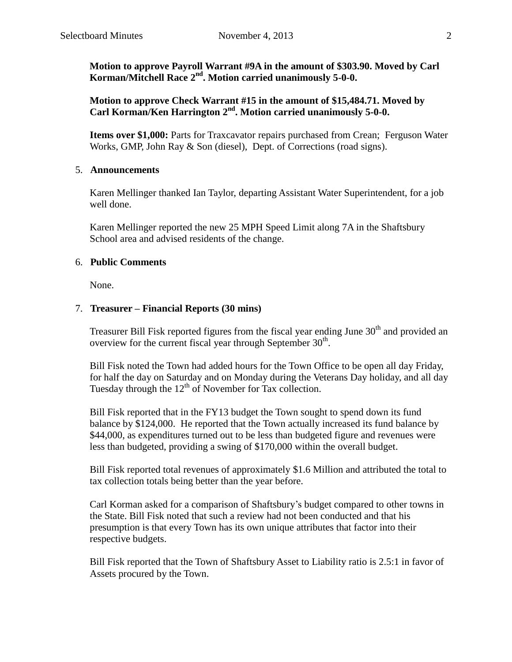**Motion to approve Payroll Warrant #9A in the amount of \$303.90. Moved by Carl**  Korman/Mitchell Race 2<sup>nd</sup>. Motion carried unanimously 5-0-0.

**Motion to approve Check Warrant #15 in the amount of \$15,484.71. Moved by Carl Korman/Ken Harrington 2nd. Motion carried unanimously 5-0-0.**

**Items over \$1,000:** Parts for Traxcavator repairs purchased from Crean; Ferguson Water Works, GMP, John Ray & Son (diesel), Dept. of Corrections (road signs).

#### 5. **Announcements**

Karen Mellinger thanked Ian Taylor, departing Assistant Water Superintendent, for a job well done.

Karen Mellinger reported the new 25 MPH Speed Limit along 7A in the Shaftsbury School area and advised residents of the change.

#### 6. **Public Comments**

None.

#### 7. **Treasurer – Financial Reports (30 mins)**

Treasurer Bill Fisk reported figures from the fiscal year ending June 30<sup>th</sup> and provided an overview for the current fiscal year through September  $30<sup>th</sup>$ .

Bill Fisk noted the Town had added hours for the Town Office to be open all day Friday, for half the day on Saturday and on Monday during the Veterans Day holiday, and all day Tuesday through the  $12<sup>th</sup>$  of November for Tax collection.

Bill Fisk reported that in the FY13 budget the Town sought to spend down its fund balance by \$124,000. He reported that the Town actually increased its fund balance by \$44,000, as expenditures turned out to be less than budgeted figure and revenues were less than budgeted, providing a swing of \$170,000 within the overall budget.

Bill Fisk reported total revenues of approximately \$1.6 Million and attributed the total to tax collection totals being better than the year before.

Carl Korman asked for a comparison of Shaftsbury's budget compared to other towns in the State. Bill Fisk noted that such a review had not been conducted and that his presumption is that every Town has its own unique attributes that factor into their respective budgets.

Bill Fisk reported that the Town of Shaftsbury Asset to Liability ratio is 2.5:1 in favor of Assets procured by the Town.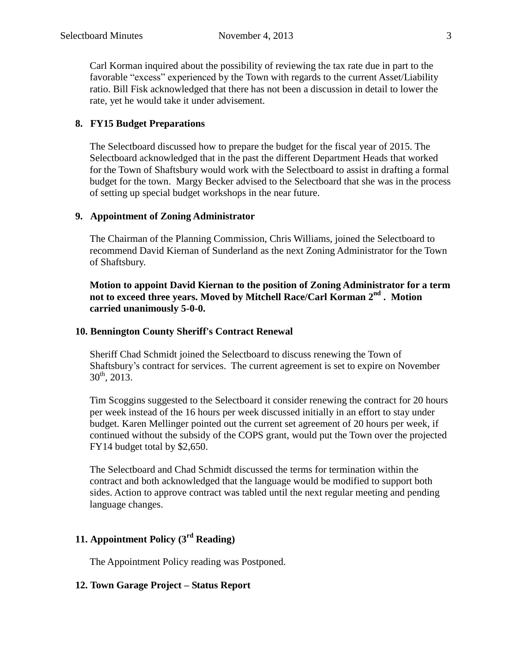Carl Korman inquired about the possibility of reviewing the tax rate due in part to the favorable "excess" experienced by the Town with regards to the current Asset/Liability ratio. Bill Fisk acknowledged that there has not been a discussion in detail to lower the rate, yet he would take it under advisement.

#### **8. FY15 Budget Preparations**

The Selectboard discussed how to prepare the budget for the fiscal year of 2015. The Selectboard acknowledged that in the past the different Department Heads that worked for the Town of Shaftsbury would work with the Selectboard to assist in drafting a formal budget for the town. Margy Becker advised to the Selectboard that she was in the process of setting up special budget workshops in the near future.

#### **9. Appointment of Zoning Administrator**

The Chairman of the Planning Commission, Chris Williams, joined the Selectboard to recommend David Kiernan of Sunderland as the next Zoning Administrator for the Town of Shaftsbury.

**Motion to appoint David Kiernan to the position of Zoning Administrator for a term not to exceed three years. Moved by Mitchell Race/Carl Korman 2nd . Motion carried unanimously 5-0-0.**

#### **10. Bennington County Sheriff's Contract Renewal**

Sheriff Chad Schmidt joined the Selectboard to discuss renewing the Town of Shaftsbury's contract for services. The current agreement is set to expire on November  $30^{th}$ , 2013.

Tim Scoggins suggested to the Selectboard it consider renewing the contract for 20 hours per week instead of the 16 hours per week discussed initially in an effort to stay under budget. Karen Mellinger pointed out the current set agreement of 20 hours per week, if continued without the subsidy of the COPS grant, would put the Town over the projected FY14 budget total by \$2,650.

The Selectboard and Chad Schmidt discussed the terms for termination within the contract and both acknowledged that the language would be modified to support both sides. Action to approve contract was tabled until the next regular meeting and pending language changes.

# **11. Appointment Policy (3rd Reading)**

The Appointment Policy reading was Postponed.

#### **12. Town Garage Project – Status Report**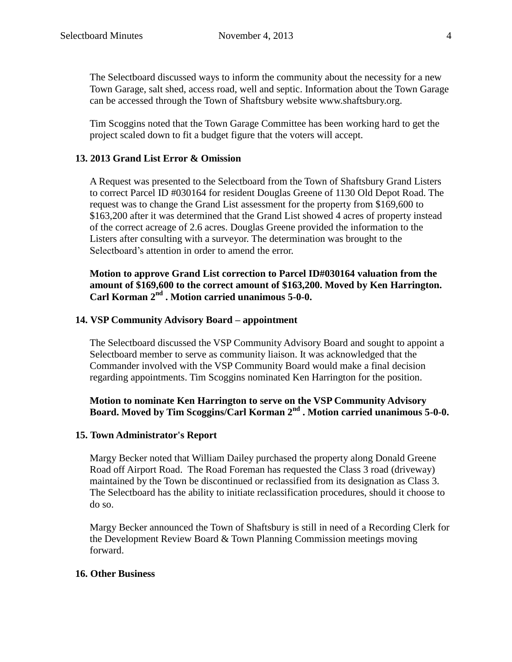The Selectboard discussed ways to inform the community about the necessity for a new Town Garage, salt shed, access road, well and septic. Information about the Town Garage can be accessed through the Town of Shaftsbury website www.shaftsbury.org.

Tim Scoggins noted that the Town Garage Committee has been working hard to get the project scaled down to fit a budget figure that the voters will accept.

#### **13. 2013 Grand List Error & Omission**

A Request was presented to the Selectboard from the Town of Shaftsbury Grand Listers to correct Parcel ID #030164 for resident Douglas Greene of 1130 Old Depot Road. The request was to change the Grand List assessment for the property from \$169,600 to \$163,200 after it was determined that the Grand List showed 4 acres of property instead of the correct acreage of 2.6 acres. Douglas Greene provided the information to the Listers after consulting with a surveyor. The determination was brought to the Selectboard's attention in order to amend the error.

**Motion to approve Grand List correction to Parcel ID#030164 valuation from the amount of \$169,600 to the correct amount of \$163,200. Moved by Ken Harrington.**  Carl Korman 2<sup>nd</sup> . Motion carried unanimous 5-0-0.

#### **14. VSP Community Advisory Board – appointment**

The Selectboard discussed the VSP Community Advisory Board and sought to appoint a Selectboard member to serve as community liaison. It was acknowledged that the Commander involved with the VSP Community Board would make a final decision regarding appointments. Tim Scoggins nominated Ken Harrington for the position.

#### **Motion to nominate Ken Harrington to serve on the VSP Community Advisory Board. Moved by Tim Scoggins/Carl Korman 2nd . Motion carried unanimous 5-0-0.**

#### **15. Town Administrator's Report**

Margy Becker noted that William Dailey purchased the property along Donald Greene Road off Airport Road. The Road Foreman has requested the Class 3 road (driveway) maintained by the Town be discontinued or reclassified from its designation as Class 3. The Selectboard has the ability to initiate reclassification procedures, should it choose to do so.

Margy Becker announced the Town of Shaftsbury is still in need of a Recording Clerk for the Development Review Board & Town Planning Commission meetings moving forward.

#### **16. Other Business**